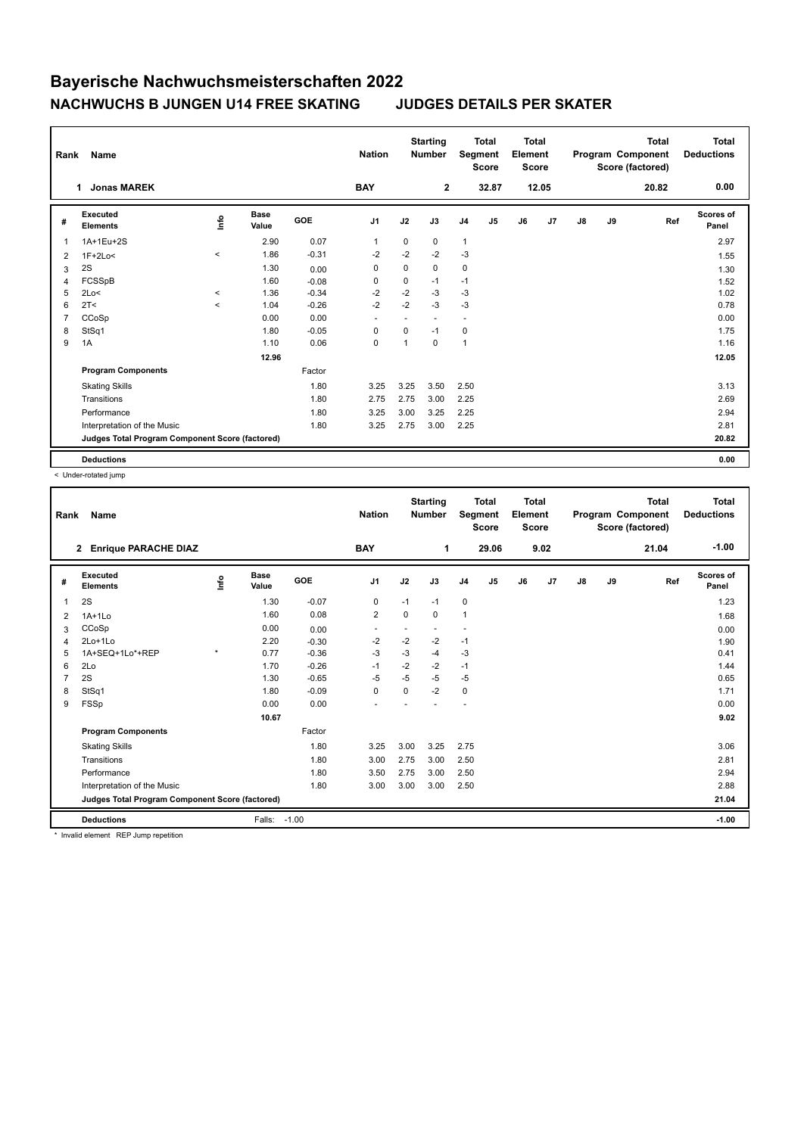## **Bayerische Nachwuchsmeisterschaften 2022 NACHWUCHS B JUNGEN U14 FREE SKATING JUDGES DETAILS PER SKATER**

| <b>Name</b><br>Rank |                                                 |          |                      | <b>Starting</b><br><b>Nation</b><br><b>Number</b> |                | <b>Total</b><br>Segment<br><b>Score</b> |                | <b>Total</b><br>Element<br><b>Score</b> |                | Program Component<br>Score (factored) |       | <b>Total</b> | <b>Total</b><br><b>Deductions</b> |       |                    |
|---------------------|-------------------------------------------------|----------|----------------------|---------------------------------------------------|----------------|-----------------------------------------|----------------|-----------------------------------------|----------------|---------------------------------------|-------|--------------|-----------------------------------|-------|--------------------|
|                     | <b>Jonas MAREK</b><br>1                         |          |                      |                                                   | <b>BAY</b>     |                                         | $\mathbf{2}$   |                                         | 32.87          |                                       | 12.05 |              |                                   | 20.82 | 0.00               |
| #                   | Executed<br><b>Elements</b>                     | lnfo     | <b>Base</b><br>Value | <b>GOE</b>                                        | J <sub>1</sub> | J2                                      | J3             | J <sub>4</sub>                          | J <sub>5</sub> | J6                                    | J7    | J8           | J9                                | Ref   | Scores of<br>Panel |
| 1                   | 1A+1Eu+2S                                       |          | 2.90                 | 0.07                                              | $\mathbf{1}$   | $\Omega$                                | 0              | $\mathbf{1}$                            |                |                                       |       |              |                                   |       | 2.97               |
| 2                   | $1F+2Lo<$                                       | $\hat{}$ | 1.86                 | $-0.31$                                           | $-2$           | $-2$                                    | $-2$           | $-3$                                    |                |                                       |       |              |                                   |       | 1.55               |
| 3                   | 2S                                              |          | 1.30                 | 0.00                                              | 0              | 0                                       | 0              | 0                                       |                |                                       |       |              |                                   |       | 1.30               |
| 4                   | FCSSpB                                          |          | 1.60                 | $-0.08$                                           | 0              | 0                                       | $-1$           | $-1$                                    |                |                                       |       |              |                                   |       | 1.52               |
| 5                   | 2Lo<                                            | $\hat{}$ | 1.36                 | $-0.34$                                           | $-2$           | $-2$                                    | $-3$           | $-3$                                    |                |                                       |       |              |                                   |       | 1.02               |
| 6                   | 2T <                                            | $\hat{}$ | 1.04                 | $-0.26$                                           | $-2$           | $-2$                                    | $-3$           | $-3$                                    |                |                                       |       |              |                                   |       | 0.78               |
| 7                   | CCoSp                                           |          | 0.00                 | 0.00                                              | ٠              | ٠                                       | $\overline{a}$ | $\sim$                                  |                |                                       |       |              |                                   |       | 0.00               |
| 8                   | StSq1                                           |          | 1.80                 | $-0.05$                                           | 0              | 0                                       | $-1$           | 0                                       |                |                                       |       |              |                                   |       | 1.75               |
| 9                   | 1A                                              |          | 1.10                 | 0.06                                              | $\mathbf 0$    | 1                                       | 0              | $\mathbf{1}$                            |                |                                       |       |              |                                   |       | 1.16               |
|                     |                                                 |          | 12.96                |                                                   |                |                                         |                |                                         |                |                                       |       |              |                                   |       | 12.05              |
|                     | <b>Program Components</b>                       |          |                      | Factor                                            |                |                                         |                |                                         |                |                                       |       |              |                                   |       |                    |
|                     | <b>Skating Skills</b>                           |          |                      | 1.80                                              | 3.25           | 3.25                                    | 3.50           | 2.50                                    |                |                                       |       |              |                                   |       | 3.13               |
|                     | Transitions                                     |          |                      | 1.80                                              | 2.75           | 2.75                                    | 3.00           | 2.25                                    |                |                                       |       |              |                                   |       | 2.69               |
|                     | Performance                                     |          |                      | 1.80                                              | 3.25           | 3.00                                    | 3.25           | 2.25                                    |                |                                       |       |              |                                   |       | 2.94               |
|                     | Interpretation of the Music                     |          |                      | 1.80                                              | 3.25           | 2.75                                    | 3.00           | 2.25                                    |                |                                       |       |              |                                   |       | 2.81               |
|                     | Judges Total Program Component Score (factored) |          |                      |                                                   |                |                                         |                |                                         |                |                                       |       |              |                                   |       | 20.82              |
|                     | <b>Deductions</b>                               |          |                      |                                                   |                |                                         |                |                                         |                |                                       |       |              |                                   |       | 0.00               |

< Under-rotated jump

| Rank | Name                                            |         |                      |         | <b>Nation</b>  |          | <b>Starting</b><br><b>Number</b> |                | <b>Total</b><br>Segment<br><b>Score</b> | <b>Total</b><br>Element<br><b>Score</b> |      |    |    | <b>Total</b><br>Program Component<br>Score (factored) | <b>Total</b><br><b>Deductions</b> |
|------|-------------------------------------------------|---------|----------------------|---------|----------------|----------|----------------------------------|----------------|-----------------------------------------|-----------------------------------------|------|----|----|-------------------------------------------------------|-----------------------------------|
|      | <b>Enrique PARACHE DIAZ</b><br>$\mathbf{2}$     |         |                      |         | <b>BAY</b>     |          | 1                                |                | 29.06                                   |                                         | 9.02 |    |    | 21.04                                                 | $-1.00$                           |
| #    | Executed<br><b>Elements</b>                     | lnfo    | <b>Base</b><br>Value | GOE     | J <sub>1</sub> | J2       | J3                               | J <sub>4</sub> | J5                                      | J6                                      | J7   | J8 | J9 | Ref                                                   | Scores of<br>Panel                |
| 1    | 2S                                              |         | 1.30                 | $-0.07$ | 0              | $-1$     | $-1$                             | $\mathbf 0$    |                                         |                                         |      |    |    |                                                       | 1.23                              |
| 2    | $1A+1Lo$                                        |         | 1.60                 | 0.08    | $\overline{2}$ | $\Omega$ | $\Omega$                         | $\mathbf{1}$   |                                         |                                         |      |    |    |                                                       | 1.68                              |
| 3    | CCoSp                                           |         | 0.00                 | 0.00    | ٠              |          |                                  |                |                                         |                                         |      |    |    |                                                       | 0.00                              |
| 4    | 2Lo+1Lo                                         |         | 2.20                 | $-0.30$ | $-2$           | $-2$     | $-2$                             | $-1$           |                                         |                                         |      |    |    |                                                       | 1.90                              |
| 5    | 1A+SEQ+1Lo*+REP                                 | $\star$ | 0.77                 | $-0.36$ | $-3$           | -3       | $-4$                             | -3             |                                         |                                         |      |    |    |                                                       | 0.41                              |
| 6    | 2Lo                                             |         | 1.70                 | $-0.26$ | $-1$           | $-2$     | $-2$                             | $-1$           |                                         |                                         |      |    |    |                                                       | 1.44                              |
| 7    | 2S                                              |         | 1.30                 | $-0.65$ | $-5$           | $-5$     | $-5$                             | $-5$           |                                         |                                         |      |    |    |                                                       | 0.65                              |
| 8    | StSq1                                           |         | 1.80                 | $-0.09$ | $\mathbf 0$    | $\Omega$ | $-2$                             | $\mathbf 0$    |                                         |                                         |      |    |    |                                                       | 1.71                              |
| 9    | FSSp                                            |         | 0.00                 | 0.00    |                |          |                                  |                |                                         |                                         |      |    |    |                                                       | 0.00                              |
|      |                                                 |         | 10.67                |         |                |          |                                  |                |                                         |                                         |      |    |    |                                                       | 9.02                              |
|      | <b>Program Components</b>                       |         |                      | Factor  |                |          |                                  |                |                                         |                                         |      |    |    |                                                       |                                   |
|      | <b>Skating Skills</b>                           |         |                      | 1.80    | 3.25           | 3.00     | 3.25                             | 2.75           |                                         |                                         |      |    |    |                                                       | 3.06                              |
|      | Transitions                                     |         |                      | 1.80    | 3.00           | 2.75     | 3.00                             | 2.50           |                                         |                                         |      |    |    |                                                       | 2.81                              |
|      | Performance                                     |         |                      | 1.80    | 3.50           | 2.75     | 3.00                             | 2.50           |                                         |                                         |      |    |    |                                                       | 2.94                              |
|      | Interpretation of the Music                     |         |                      | 1.80    | 3.00           | 3.00     | 3.00                             | 2.50           |                                         |                                         |      |    |    |                                                       | 2.88                              |
|      | Judges Total Program Component Score (factored) |         |                      |         |                |          |                                  |                |                                         |                                         |      |    |    |                                                       | 21.04                             |
|      | <b>Deductions</b>                               |         | Falls:               | $-1.00$ |                |          |                                  |                |                                         |                                         |      |    |    |                                                       | $-1.00$                           |

\* Invalid element REP Jump repetition